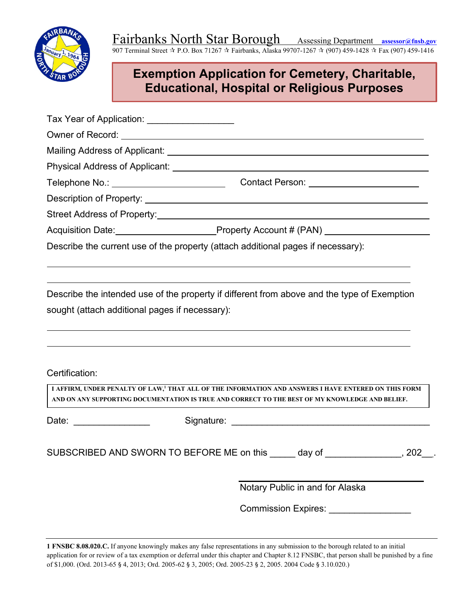

# **Exemption Application for Cemetery, Charitable, Educational, Hospital or Religious Purposes**

| Tax Year of Application: ___________________   |                                                                                                                                                                                                                     |
|------------------------------------------------|---------------------------------------------------------------------------------------------------------------------------------------------------------------------------------------------------------------------|
|                                                |                                                                                                                                                                                                                     |
|                                                |                                                                                                                                                                                                                     |
|                                                |                                                                                                                                                                                                                     |
|                                                |                                                                                                                                                                                                                     |
|                                                |                                                                                                                                                                                                                     |
|                                                |                                                                                                                                                                                                                     |
|                                                | Acquisition Date: 1990 Mate: 1991 Mate of Property Account # (PAN)                                                                                                                                                  |
|                                                | Describe the current use of the property (attach additional pages if necessary):                                                                                                                                    |
| sought (attach additional pages if necessary): | Describe the intended use of the property if different from above and the type of Exemption                                                                                                                         |
| Certification:                                 |                                                                                                                                                                                                                     |
|                                                | I AFFIRM, UNDER PENALTY OF LAW, <sup>1</sup> THAT ALL OF THE INFORMATION AND ANSWERS I HAVE ENTERED ON THIS FORM<br>AND ON ANY SUPPORTING DOCUMENTATION IS TRUE AND CORRECT TO THE BEST OF MY KNOWLEDGE AND BELIEF. |
| Date: _________________                        |                                                                                                                                                                                                                     |
|                                                | SUBSCRIBED AND SWORN TO BEFORE ME on this<br>day of<br>,202 .                                                                                                                                                       |
|                                                | Notary Public in and for Alaska                                                                                                                                                                                     |
|                                                | Commission Expires: _______________                                                                                                                                                                                 |

**1 FNSBC 8.08.020.C.** If anyone knowingly makes any false representations in any submission to the borough related to an initial application for or review of a tax exemption or deferral under this chapter and Chapter 8.12 FNSBC, that person shall be punished by a fine of \$1,000. (Ord. 2013-65 § 4, 2013; Ord. 2005-62 § 3, 2005; Ord. 2005-23 § 2, 2005. 2004 Code § 3.10.020.)